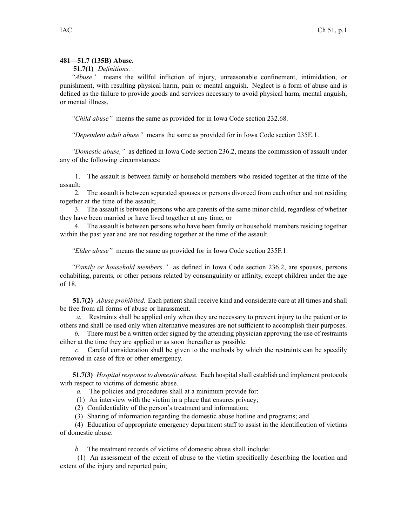## **481—51.7 (135B) Abuse.**

## **51.7(1)** *Definitions.*

*"Abuse"* means the willful infliction of injury, unreasonable confinement, intimidation, or punishment, with resulting physical harm, pain or mental anguish. Neglect is <sup>a</sup> form of abuse and is defined as the failure to provide goods and services necessary to avoid physical harm, mental anguish, or mental illness.

*"Child abuse"* means the same as provided for in Iowa Code section [232.68](https://www.legis.iowa.gov/docs/ico/section/232.68.pdf).

*"Dependent adult abuse"* means the same as provided for in Iowa Code section [235E.1](https://www.legis.iowa.gov/docs/ico/section/235E.1.pdf).

*"Domestic abuse,"* as defined in Iowa Code section [236.2](https://www.legis.iowa.gov/docs/ico/section/236.2.pdf), means the commission of assault under any of the following circumstances:

1. The assault is between family or household members who resided together at the time of the assault;

2. The assault is between separated spouses or persons divorced from each other and not residing together at the time of the assault;

3. The assault is between persons who are parents of the same minor child, regardless of whether they have been married or have lived together at any time; or

4. The assault is between persons who have been family or household members residing together within the pas<sup>t</sup> year and are not residing together at the time of the assault.

*"Elder abuse"* means the same as provided for in Iowa Code section [235F.1](https://www.legis.iowa.gov/docs/ico/section/235F.1.pdf).

*"Family or household members,"* as defined in Iowa Code section [236.2](https://www.legis.iowa.gov/docs/ico/section/236.2.pdf), are spouses, persons cohabiting, parents, or other persons related by consanguinity or affinity, excep<sup>t</sup> children under the age of 18.

**51.7(2)** *Abuse prohibited.* Each patient shall receive kind and considerate care at all times and shall be free from all forms of abuse or harassment.

*a.* Restraints shall be applied only when they are necessary to preven<sup>t</sup> injury to the patient or to others and shall be used only when alternative measures are not sufficient to accomplish their purposes.

*b.* There must be <sup>a</sup> written order signed by the attending physician approving the use of restraints either at the time they are applied or as soon thereafter as possible.

*c.* Careful consideration shall be given to the methods by which the restraints can be speedily removed in case of fire or other emergency.

**51.7(3)** *Hospital response to domestic abuse.* Each hospital shall establish and implement protocols with respec<sup>t</sup> to victims of domestic abuse.

*a.* The policies and procedures shall at <sup>a</sup> minimum provide for:

(1) An interview with the victim in <sup>a</sup> place that ensures privacy;

(2) Confidentiality of the person's treatment and information;

(3) Sharing of information regarding the domestic abuse hotline and programs; and

(4) Education of appropriate emergency department staff to assist in the identification of victims of domestic abuse.

*b.* The treatment records of victims of domestic abuse shall include:

(1) An assessment of the extent of abuse to the victim specifically describing the location and extent of the injury and reported pain;